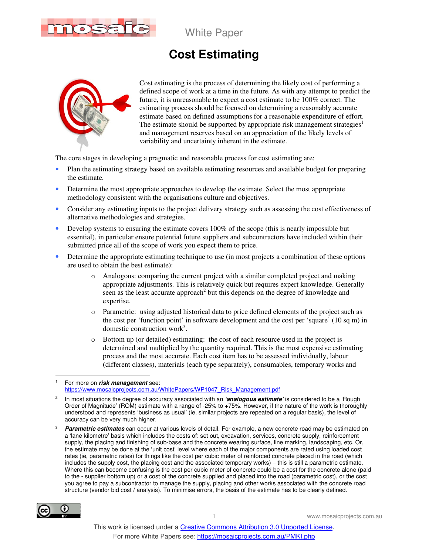

## **Cost Estimating**



Cost estimating is the process of determining the likely cost of performing a defined scope of work at a time in the future. As with any attempt to predict the future, it is unreasonable to expect a cost estimate to be 100% correct. The estimating process should be focused on determining a reasonably accurate estimate based on defined assumptions for a reasonable expenditure of effort. The estimate should be supported by appropriate risk management strategies<sup>1</sup> and management reserves based on an appreciation of the likely levels of variability and uncertainty inherent in the estimate.

The core stages in developing a pragmatic and reasonable process for cost estimating are:

- Plan the estimating strategy based on available estimating resources and available budget for preparing the estimate.
- Determine the most appropriate approaches to develop the estimate. Select the most appropriate methodology consistent with the organisations culture and objectives.
- Consider any estimating inputs to the project delivery strategy such as assessing the cost effectiveness of alternative methodologies and strategies.
- Develop systems to ensuring the estimate covers  $100\%$  of the scope (this is nearly impossible but essential), in particular ensure potential future suppliers and subcontractors have included within their submitted price all of the scope of work you expect them to price.
- Determine the appropriate estimating technique to use (in most projects a combination of these options are used to obtain the best estimate):
	- o Analogous: comparing the current project with a similar completed project and making appropriate adjustments. This is relatively quick but requires expert knowledge. Generally seen as the least accurate approach<sup>2</sup> but this depends on the degree of knowledge and expertise.
	- o Parametric: using adjusted historical data to price defined elements of the project such as the cost per 'function point' in software development and the cost per 'square' (10 sq m) in domestic construction work<sup>3</sup>.
	- o Bottom up (or detailed) estimating: the cost of each resource used in the project is determined and multiplied by the quantity required. This is the most expensive estimating process and the most accurate. Each cost item has to be assessed individually, labour (different classes), materials (each type separately), consumables, temporary works and

<sup>3</sup> **Parametric estimates** can occur at various levels of detail. For example, a new concrete road may be estimated on a 'lane kilometre' basis which includes the costs of: set out, excavation, services, concrete supply, reinforcement supply, the placing and finishing of sub-base and the concrete wearing surface, line marking, landscaping, etc. Or, the estimate may be done at the 'unit cost' level where each of the major components are rated using loaded cost rates (ie, parametric rates) for things like the cost per cubic meter of reinforced concrete placed in the road (which includes the supply cost, the placing cost and the associated temporary works) – this is still a parametric estimate. Where this can become confusing is the cost per cubic meter of concrete could be a cost for the concrete alone (paid to the - supplier bottom up) or a cost of the concrete supplied and placed into the road (parametric cost), or the cost you agree to pay a subcontractor to manage the supply, placing and other works associated with the concrete road structure (vendor bid cost / analysis). To minimise errors, the basis of the estimate has to be clearly defined.



 $\ddot{\phantom{a}}$ 

<sup>1</sup> For more on **risk management** see: https://www.mosaicprojects.com.au/WhitePapers/WP1047\_Risk\_Management.pdf

<sup>2</sup> In most situations the degree of accuracy associated with an **'analogous estimate'** is considered to be a 'Rough Order of Magnitude' (ROM) estimate with a range of -25% to +75%. However, if the nature of the work is thoroughly understood and represents 'business as usual' (ie, similar projects are repeated on a regular basis), the level of accuracy can be very much higher.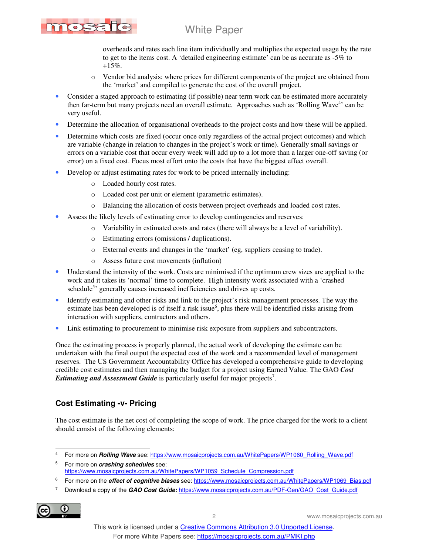# TOST

### White Paper

overheads and rates each line item individually and multiplies the expected usage by the rate to get to the items cost. A 'detailed engineering estimate' can be as accurate as -5% to +15%.

- o Vendor bid analysis: where prices for different components of the project are obtained from the 'market' and compiled to generate the cost of the overall project.
- Consider a staged approach to estimating (if possible) near term work can be estimated more accurately then far-term but many projects need an overall estimate. Approaches such as 'Rolling Wave<sup>4</sup>' can be very useful.
- Determine the allocation of organisational overheads to the project costs and how these will be applied.
- Determine which costs are fixed (occur once only regardless of the actual project outcomes) and which are variable (change in relation to changes in the project's work or time). Generally small savings or errors on a variable cost that occur every week will add up to a lot more than a larger one-off saving (or error) on a fixed cost. Focus most effort onto the costs that have the biggest effect overall.
- Develop or adjust estimating rates for work to be priced internally including:
	- o Loaded hourly cost rates.
	- o Loaded cost per unit or element (parametric estimates).
	- o Balancing the allocation of costs between project overheads and loaded cost rates.
- Assess the likely levels of estimating error to develop contingencies and reserves:
	- o Variability in estimated costs and rates (there will always be a level of variability).
	- o Estimating errors (omissions / duplications).
	- o External events and changes in the 'market' (eg, suppliers ceasing to trade).
	- o Assess future cost movements (inflation)
- Understand the intensity of the work. Costs are minimised if the optimum crew sizes are applied to the work and it takes its 'normal' time to complete. High intensity work associated with a 'crashed schedule<sup>5</sup> generally causes increased inefficiencies and drives up costs.
- Identify estimating and other risks and link to the project's risk management processes. The way the estimate has been developed is of itself a risk issue<sup>6</sup>, plus there will be identified risks arising from interaction with suppliers, contractors and others.
- Link estimating to procurement to minimise risk exposure from suppliers and subcontractors.

Once the estimating process is properly planned, the actual work of developing the estimate can be undertaken with the final output the expected cost of the work and a recommended level of management reserves. The US Government Accountability Office has developed a comprehensive guide to developing credible cost estimates and then managing the budget for a project using Earned Value. The GAO *Cost Estimating and Assessment Guide* is particularly useful for major projects<sup>7</sup>.

#### **Cost Estimating -v- Pricing**

The cost estimate is the net cost of completing the scope of work. The price charged for the work to a client should consist of the following elements:

7 Download a copy of the **GAO Cost Guide:** https://www.mosaicprojects.com.au/PDF-Gen/GAO\_Cost\_Guide.pdf



 $\overline{a}$ 4 For more on **Rolling Wave** see: https://www.mosaicprojects.com.au/WhitePapers/WP1060\_Rolling\_Wave.pdf

<sup>5</sup> For more on **crashing schedules** see: https://www.mosaicprojects.com.au/WhitePapers/WP1059\_Schedule\_Compression.pdf

<sup>6</sup> For more on the *effect of cognitive biases* see: https://www.mosaicprojects.com.au/WhitePapers/WP1069\_Bias.pdf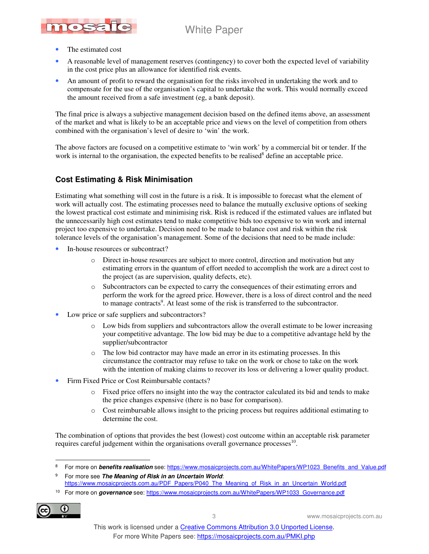

- The estimated cost
- A reasonable level of management reserves (contingency) to cover both the expected level of variability in the cost price plus an allowance for identified risk events.
- An amount of profit to reward the organisation for the risks involved in undertaking the work and to compensate for the use of the organisation's capital to undertake the work. This would normally exceed the amount received from a safe investment (eg, a bank deposit).

The final price is always a subjective management decision based on the defined items above, an assessment of the market and what is likely to be an acceptable price and views on the level of competition from others combined with the organisation's level of desire to 'win' the work.

The above factors are focused on a competitive estimate to 'win work' by a commercial bit or tender. If the work is internal to the organisation, the expected benefits to be realised<sup>8</sup> define an acceptable price.

#### **Cost Estimating & Risk Minimisation**

Estimating what something will cost in the future is a risk. It is impossible to forecast what the element of work will actually cost. The estimating processes need to balance the mutually exclusive options of seeking the lowest practical cost estimate and minimising risk. Risk is reduced if the estimated values are inflated but the unnecessarily high cost estimates tend to make competitive bids too expensive to win work and internal project too expensive to undertake. Decision need to be made to balance cost and risk within the risk tolerance levels of the organisation's management. Some of the decisions that need to be made include:

- In-house resources or subcontract?
	- o Direct in-house resources are subject to more control, direction and motivation but any estimating errors in the quantum of effort needed to accomplish the work are a direct cost to the project (as are supervision, quality defects, etc).
	- o Subcontractors can be expected to carry the consequences of their estimating errors and perform the work for the agreed price. However, there is a loss of direct control and the need to manage contracts<sup>9</sup>. At least some of the risk is transferred to the subcontractor.
- Low price or safe suppliers and subcontractors?
	- o Low bids from suppliers and subcontractors allow the overall estimate to be lower increasing your competitive advantage. The low bid may be due to a competitive advantage held by the supplier/subcontractor
	- o The low bid contractor may have made an error in its estimating processes. In this circumstance the contractor may refuse to take on the work or chose to take on the work with the intention of making claims to recover its loss or delivering a lower quality product.
- Firm Fixed Price or Cost Reimbursable contacts?
	- o Fixed price offers no insight into the way the contractor calculated its bid and tends to make the price changes expensive (there is no base for comparison).
	- o Cost reimbursable allows insight to the pricing process but requires additional estimating to determine the cost.

The combination of options that provides the best (lowest) cost outcome within an acceptable risk parameter requires careful judgement within the organisations overall governance processes<sup>10</sup>.

<sup>10</sup> For more on **governance** see: https://www.mosaicprojects.com.au/WhitePapers/WP1033\_Governance.pdf



 $\overline{a}$ 8 For more on **benefits realisation** see: https://www.mosaicprojects.com.au/WhitePapers/WP1023\_Benefits\_and\_Value.pdf

<sup>9</sup> For more see **The Meaning of Risk in an Uncertain World**: https://www.mosaicprojects.com.au/PDF\_Papers/P040\_The\_Meaning\_of\_Risk\_in\_an\_Uncertain\_World.pdf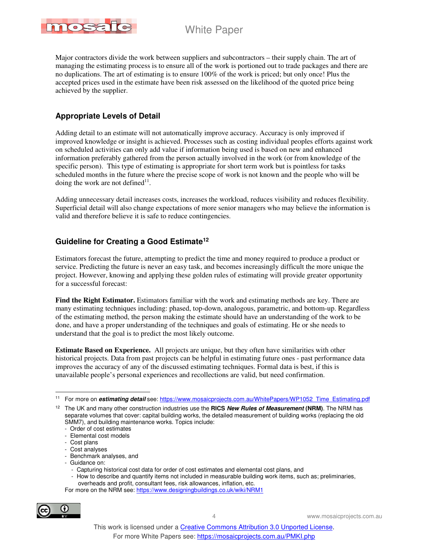

Major contractors divide the work between suppliers and subcontractors – their supply chain. The art of managing the estimating process is to ensure all of the work is portioned out to trade packages and there are no duplications. The art of estimating is to ensure 100% of the work is priced; but only once! Plus the accepted prices used in the estimate have been risk assessed on the likelihood of the quoted price being achieved by the supplier.

#### **Appropriate Levels of Detail**

Adding detail to an estimate will not automatically improve accuracy. Accuracy is only improved if improved knowledge or insight is achieved. Processes such as costing individual peoples efforts against work on scheduled activities can only add value if information being used is based on new and enhanced information preferably gathered from the person actually involved in the work (or from knowledge of the specific person). This type of estimating is appropriate for short term work but is pointless for tasks scheduled months in the future where the precise scope of work is not known and the people who will be doing the work are not defined $11$ .

Adding unnecessary detail increases costs, increases the workload, reduces visibility and reduces flexibility. Superficial detail will also change expectations of more senior managers who may believe the information is valid and therefore believe it is safe to reduce contingencies.

#### **Guideline for Creating a Good Estimate<sup>12</sup>**

Estimators forecast the future, attempting to predict the time and money required to produce a product or service. Predicting the future is never an easy task, and becomes increasingly difficult the more unique the project. However, knowing and applying these golden rules of estimating will provide greater opportunity for a successful forecast:

**Find the Right Estimator.** Estimators familiar with the work and estimating methods are key. There are many estimating techniques including: phased, top-down, analogous, parametric, and bottom-up. Regardless of the estimating method, the person making the estimate should have an understanding of the work to be done, and have a proper understanding of the techniques and goals of estimating. He or she needs to understand that the goal is to predict the most likely outcome.

**Estimate Based on Experience.** All projects are unique, but they often have similarities with other historical projects. Data from past projects can be helpful in estimating future ones - past performance data improves the accuracy of any of the discussed estimating techniques. Formal data is best, if this is unavailable people's personal experiences and recollections are valid, but need confirmation.

- Benchmark analyses, and
- Guidance on:
	- Capturing historical cost data for order of cost estimates and elemental cost plans, and
	- How to describe and quantify items not included in measurable building work items, such as; preliminaries, overheads and profit, consultant fees, risk allowances, inflation, etc.

For more on the NRM see: https://www.designingbuildings.co.uk/wiki/NRM1



 $\overline{a}$ <sup>11</sup> For more on *estimating detail* see: https://www.mosaicprojects.com.au/WhitePapers/WP1052\_Time\_Estimating.pdf

<sup>12</sup> The UK and many other construction industries use the **RICS New Rules of Measurement (NRM)**. The NRM has separate volumes that cover: capital building works, the detailed measurement of building works (replacing the old SMM7), and building maintenance works. Topics include:

<sup>-</sup> Order of cost estimates

<sup>-</sup> Elemental cost models

<sup>-</sup> Cost plans

<sup>-</sup> Cost analyses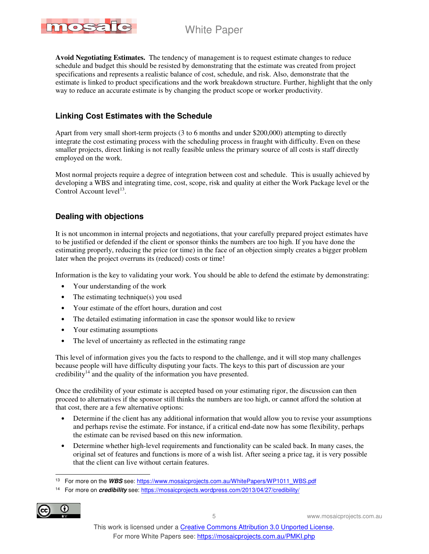

**Avoid Negotiating Estimates.** The tendency of management is to request estimate changes to reduce schedule and budget this should be resisted by demonstrating that the estimate was created from project specifications and represents a realistic balance of cost, schedule, and risk. Also, demonstrate that the estimate is linked to product specifications and the work breakdown structure. Further, highlight that the only way to reduce an accurate estimate is by changing the product scope or worker productivity.

#### **Linking Cost Estimates with the Schedule**

Apart from very small short-term projects (3 to 6 months and under \$200,000) attempting to directly integrate the cost estimating process with the scheduling process in fraught with difficulty. Even on these smaller projects, direct linking is not really feasible unless the primary source of all costs is staff directly employed on the work.

Most normal projects require a degree of integration between cost and schedule. This is usually achieved by developing a WBS and integrating time, cost, scope, risk and quality at either the Work Package level or the Control Account  $level<sup>13</sup>$ .

#### **Dealing with objections**

It is not uncommon in internal projects and negotiations, that your carefully prepared project estimates have to be justified or defended if the client or sponsor thinks the numbers are too high. If you have done the estimating properly, reducing the price (or time) in the face of an objection simply creates a bigger problem later when the project overruns its (reduced) costs or time!

Information is the key to validating your work. You should be able to defend the estimate by demonstrating:

- Your understanding of the work
- The estimating technique(s) you used
- Your estimate of the effort hours, duration and cost
- The detailed estimating information in case the sponsor would like to review
- Your estimating assumptions
- The level of uncertainty as reflected in the estimating range

This level of information gives you the facts to respond to the challenge, and it will stop many challenges because people will have difficulty disputing your facts. The keys to this part of discussion are your credibility<sup>14</sup> and the quality of the information you have presented.

Once the credibility of your estimate is accepted based on your estimating rigor, the discussion can then proceed to alternatives if the sponsor still thinks the numbers are too high, or cannot afford the solution at that cost, there are a few alternative options:

- Determine if the client has any additional information that would allow you to revise your assumptions and perhaps revise the estimate. For instance, if a critical end-date now has some flexibility, perhaps the estimate can be revised based on this new information.
- Determine whether high-level requirements and functionality can be scaled back. In many cases, the original set of features and functions is more of a wish list. After seeing a price tag, it is very possible that the client can live without certain features.

<sup>14</sup> For more on **credibility** see: https://mosaicprojects.wordpress.com/2013/04/27/credibility/



 $\ddot{\phantom{a}}$ <sup>13</sup> For more on the WBS see: https://www.mosaicprojects.com.au/WhitePapers/WP1011\_WBS.pdf